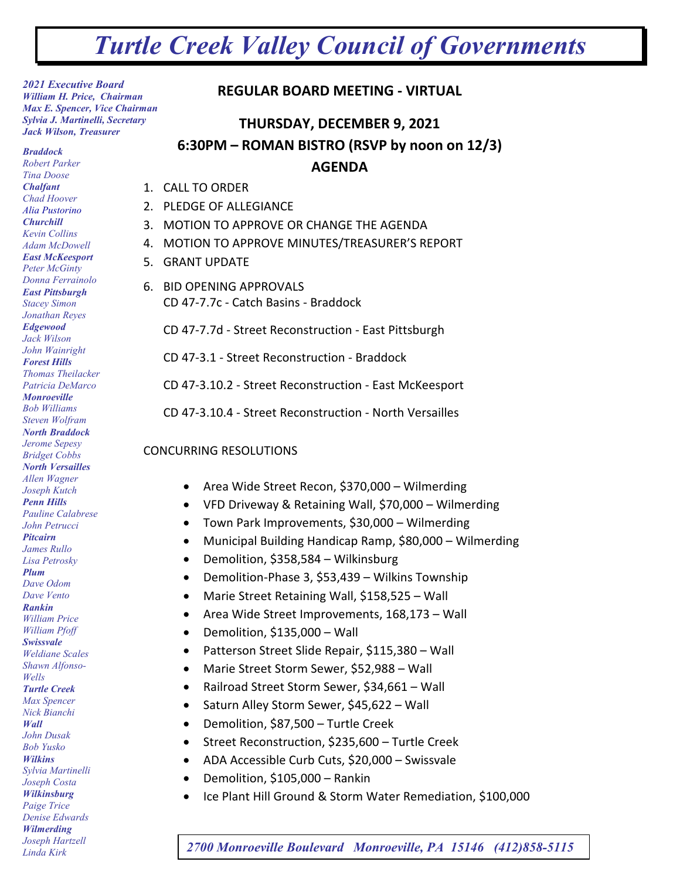## *Turtle Creek Valley Council of Governments*

*2021 Executive Board William H. Price, Chairman Max E. Spencer, Vice Chairman Sylvia J. Martinelli, Secretary Jack Wilson, Treasurer*

*Braddock Robert Parker Tina Doose Chalfant Chad Hoover Alia Pustorino Churchill Kevin Collins Adam McDowell East McKeesport Peter McGinty Donna Ferrainolo East Pittsburgh Stacey Simon Jonathan Reyes Edgewood Jack Wilson John Wainright Forest Hills Thomas Theilacker Patricia DeMarco Monroeville Bob Williams Steven Wolfram North Braddock Jerome Sepesy Bridget Cobbs North Versailles Allen Wagner Joseph Kutch Penn Hills Pauline Calabrese John Petrucci Pitcairn James Rullo Lisa Petrosky Plum Dave Odom Dave Vento Rankin William Price William Pfoff Swissvale Weldiane Scales Shawn Alfonso-Wells Turtle Creek Max Spencer Nick Bianchi Wall John Dusak Bob Yusko Wilkins Sylvia Martinelli Joseph Costa Wilkinsburg Paige Trice Denise Edwards Wilmerding Joseph Hartzell*

## **REGULAR BOARD MEETING - VIRTUAL**

## **THURSDAY, DECEMBER 9, 2021 6:30PM – ROMAN BISTRO (RSVP by noon on 12/3) AGENDA**

- 1. CALL TO ORDER
- 2. PLEDGE OF ALLEGIANCE
- 3. MOTION TO APPROVE OR CHANGE THE AGENDA
- 4. MOTION TO APPROVE MINUTES/TREASURER'S REPORT
- 5. GRANT UPDATE
- 6. BID OPENING APPROVALS CD 47-7.7c - Catch Basins - Braddock

CD 47-7.7d - Street Reconstruction - East Pittsburgh

CD 47-3.1 - Street Reconstruction - Braddock

CD 47-3.10.2 - Street Reconstruction - East McKeesport

CD 47-3.10.4 - Street Reconstruction - North Versailles

## CONCURRING RESOLUTIONS

- Area Wide Street Recon, \$370,000 Wilmerding
- VFD Driveway & Retaining Wall, \$70,000 Wilmerding
- Town Park Improvements, \$30,000 Wilmerding
- Municipal Building Handicap Ramp, \$80,000 Wilmerding
- Demolition, \$358,584 Wilkinsburg
- Demolition-Phase 3, \$53,439 Wilkins Township
- Marie Street Retaining Wall, \$158,525 Wall
- Area Wide Street Improvements, 168,173 Wall
- Demolition, \$135,000 Wall
- Patterson Street Slide Repair, \$115,380 Wall
- Marie Street Storm Sewer, \$52,988 Wall
- Railroad Street Storm Sewer, \$34,661 Wall
- Saturn Alley Storm Sewer, \$45,622 Wall
- Demolition, \$87,500 Turtle Creek
- Street Reconstruction, \$235,600 Turtle Creek
- ADA Accessible Curb Cuts, \$20,000 Swissvale
- Demolition, \$105,000 Rankin
- Ice Plant Hill Ground & Storm Water Remediation, \$100,000

*Linda Kirk 2700 Monroeville Boulevard Monroeville, PA 15146 (412)858-5115*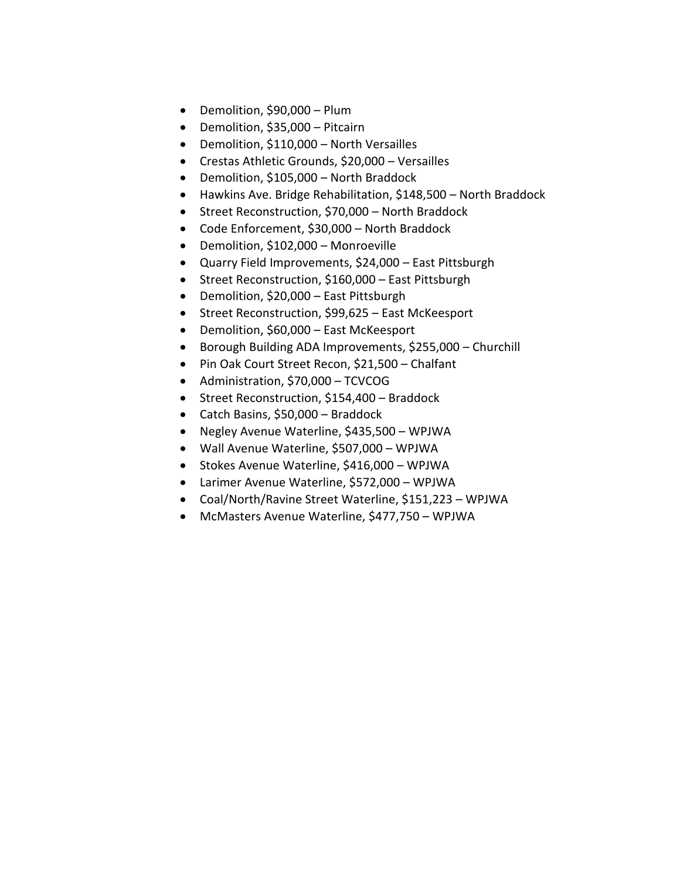- Demolition, \$90,000 Plum
- Demolition, \$35,000 Pitcairn
- Demolition, \$110,000 North Versailles
- Crestas Athletic Grounds, \$20,000 Versailles
- Demolition, \$105,000 North Braddock
- Hawkins Ave. Bridge Rehabilitation, \$148,500 North Braddock
- Street Reconstruction, \$70,000 North Braddock
- Code Enforcement, \$30,000 North Braddock
- Demolition, \$102,000 Monroeville
- Quarry Field Improvements, \$24,000 East Pittsburgh
- Street Reconstruction, \$160,000 East Pittsburgh
- Demolition, \$20,000 East Pittsburgh
- Street Reconstruction, \$99,625 East McKeesport
- Demolition, \$60,000 East McKeesport
- Borough Building ADA Improvements, \$255,000 Churchill
- Pin Oak Court Street Recon, \$21,500 Chalfant
- Administration, \$70,000 TCVCOG
- Street Reconstruction, \$154,400 Braddock
- Catch Basins, \$50,000 Braddock
- Negley Avenue Waterline, \$435,500 WPJWA
- Wall Avenue Waterline, \$507,000 WPJWA
- Stokes Avenue Waterline, \$416,000 WPJWA
- Larimer Avenue Waterline, \$572,000 WPJWA
- Coal/North/Ravine Street Waterline, \$151,223 WPJWA
- McMasters Avenue Waterline, \$477,750 WPJWA